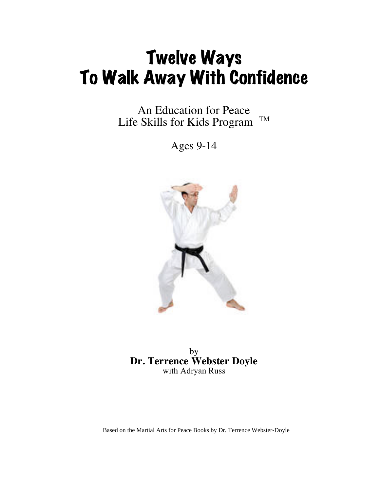## Twelve Ways To Walk Away With Confidence

An Education for Peace Life Skills for Kids Program <sup>TM</sup>

Ages 9-14



by **Dr. Terrence Webster Doyle** with Adryan Russ

Based on the Martial Arts for Peace Books by Dr. Terrence Webster-Doyle